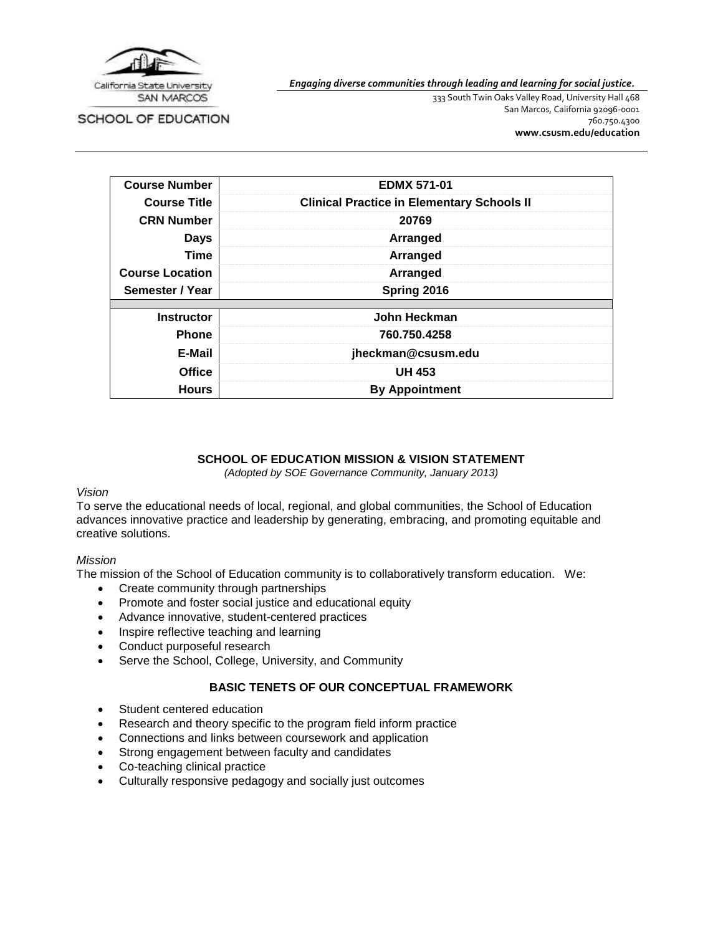

SCHOOL OF EDUCATION

*Engaging diverse communities through leading and learning for social justice.*

333 South Twin Oaks Valley Road, University Hall 468 San Marcos, California 92096-0001 760.750.4300 **[www.csusm.edu/education](http://www.csusm.edu/education)**

| <b>Course Number</b>   | <b>EDMX 571-01</b>                                |
|------------------------|---------------------------------------------------|
| <b>Course Title</b>    | <b>Clinical Practice in Elementary Schools II</b> |
| <b>CRN Number</b>      | 20769                                             |
| <b>Days</b>            | Arranged                                          |
| <b>Time</b>            | Arranged                                          |
| <b>Course Location</b> | Arranged                                          |
| Semester / Year        | Spring 2016                                       |
| <b>Instructor</b>      | John Heckman                                      |
|                        |                                                   |
| <b>Phone</b>           | 760.750.4258                                      |
| E-Mail                 | jheckman@csusm.edu                                |
| <b>Office</b>          | <b>UH 453</b>                                     |
| <b>Hours</b>           | <b>By Appointment</b>                             |

### **SCHOOL OF EDUCATION MISSION & VISION STATEMENT**

*(Adopted by SOE Governance Community, January 2013)*

#### *Vision*

To serve the educational needs of local, regional, and global communities, the School of Education advances innovative practice and leadership by generating, embracing, and promoting equitable and creative solutions.

#### *Mission*

The mission of the School of Education community is to collaboratively transform education. We:

- Create community through partnerships
- Promote and foster social justice and educational equity
- Advance innovative, student-centered practices
- Inspire reflective teaching and learning
- Conduct purposeful research
- Serve the School, College, University, and Community

## **BASIC TENETS OF OUR CONCEPTUAL FRAMEWORK**

- Student centered education
- Research and theory specific to the program field inform practice
- Connections and links between coursework and application
- Strong engagement between faculty and candidates
- Co-teaching clinical practice
- Culturally responsive pedagogy and socially just outcomes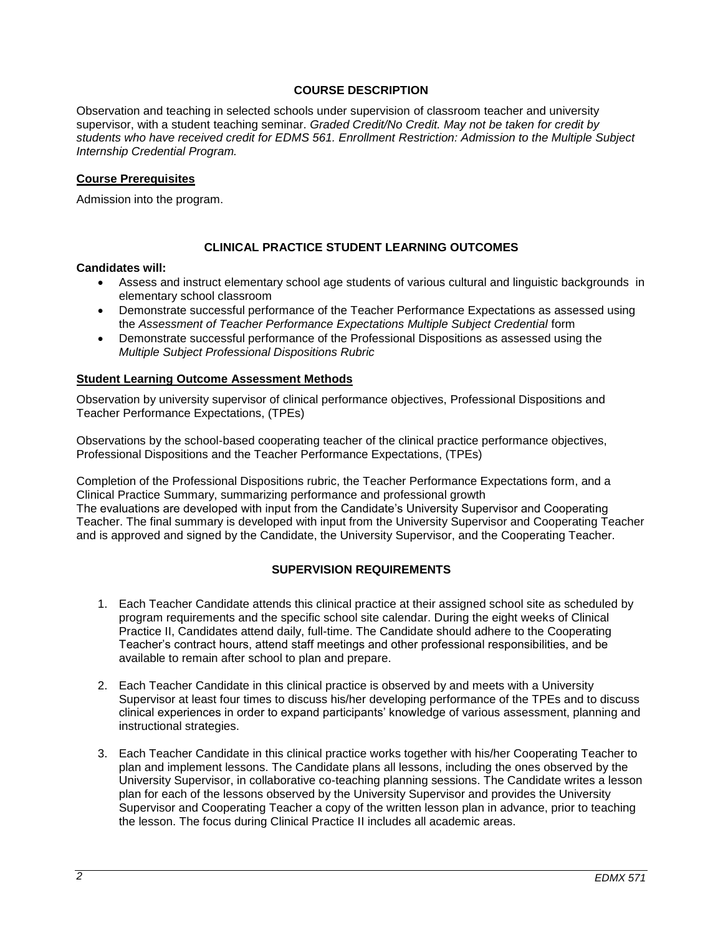## **COURSE DESCRIPTION**

Observation and teaching in selected schools under supervision of classroom teacher and university supervisor, with a student teaching seminar. *Graded Credit/No Credit. May not be taken for credit by students who have received credit for EDMS 561. Enrollment Restriction: Admission to the Multiple Subject Internship Credential Program.*

### **Course Prerequisites**

Admission into the program.

## **CLINICAL PRACTICE STUDENT LEARNING OUTCOMES**

#### **Candidates will:**

- Assess and instruct elementary school age students of various cultural and linguistic backgrounds in elementary school classroom
- Demonstrate successful performance of the Teacher Performance Expectations as assessed using the *Assessment of Teacher Performance Expectations Multiple Subject Credential* form
- Demonstrate successful performance of the Professional Dispositions as assessed using the *Multiple Subject Professional Dispositions Rubric*

#### **Student Learning Outcome Assessment Methods**

Observation by university supervisor of clinical performance objectives, Professional Dispositions and Teacher Performance Expectations, (TPEs)

Observations by the school-based cooperating teacher of the clinical practice performance objectives, Professional Dispositions and the Teacher Performance Expectations, (TPEs)

Completion of the Professional Dispositions rubric, the Teacher Performance Expectations form, and a Clinical Practice Summary, summarizing performance and professional growth The evaluations are developed with input from the Candidate's University Supervisor and Cooperating Teacher. The final summary is developed with input from the University Supervisor and Cooperating Teacher and is approved and signed by the Candidate, the University Supervisor, and the Cooperating Teacher.

## **SUPERVISION REQUIREMENTS**

- 1. Each Teacher Candidate attends this clinical practice at their assigned school site as scheduled by program requirements and the specific school site calendar. During the eight weeks of Clinical Practice II, Candidates attend daily, full-time. The Candidate should adhere to the Cooperating Teacher's contract hours, attend staff meetings and other professional responsibilities, and be available to remain after school to plan and prepare.
- 2. Each Teacher Candidate in this clinical practice is observed by and meets with a University Supervisor at least four times to discuss his/her developing performance of the TPEs and to discuss clinical experiences in order to expand participants' knowledge of various assessment, planning and instructional strategies.
- 3. Each Teacher Candidate in this clinical practice works together with his/her Cooperating Teacher to plan and implement lessons. The Candidate plans all lessons, including the ones observed by the University Supervisor, in collaborative co-teaching planning sessions. The Candidate writes a lesson plan for each of the lessons observed by the University Supervisor and provides the University Supervisor and Cooperating Teacher a copy of the written lesson plan in advance, prior to teaching the lesson. The focus during Clinical Practice II includes all academic areas.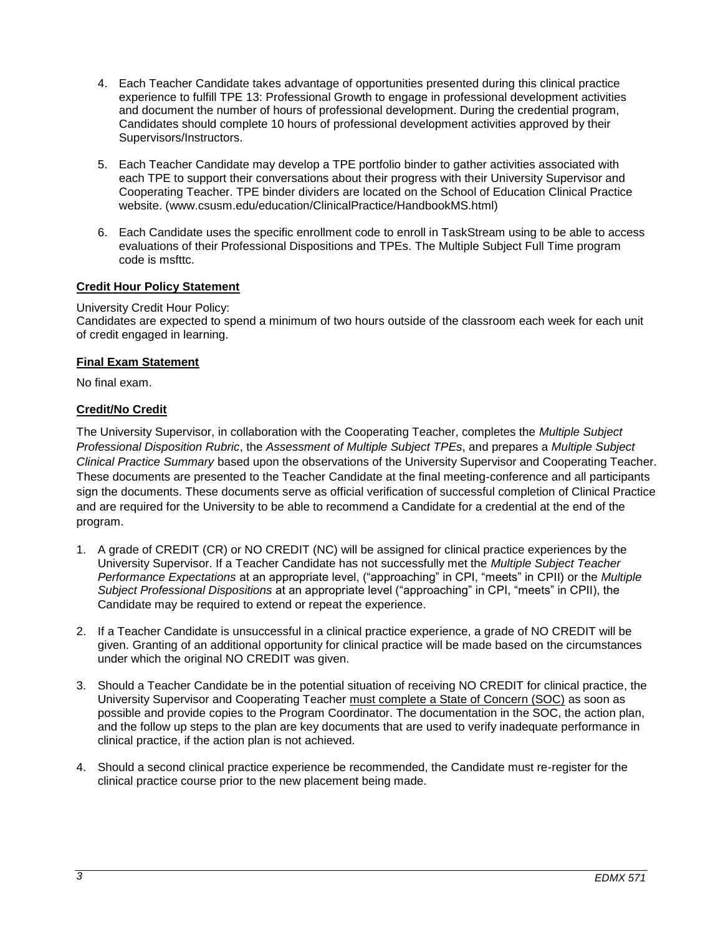- 4. Each Teacher Candidate takes advantage of opportunities presented during this clinical practice experience to fulfill TPE 13: Professional Growth to engage in professional development activities and document the number of hours of professional development. During the credential program, Candidates should complete 10 hours of professional development activities approved by their Supervisors/Instructors.
- 5. Each Teacher Candidate may develop a TPE portfolio binder to gather activities associated with each TPE to support their conversations about their progress with their University Supervisor and Cooperating Teacher. TPE binder dividers are located on the School of Education Clinical Practice website. (www.csusm.edu/education/ClinicalPractice/HandbookMS.html)
- 6. Each Candidate uses the specific enrollment code to enroll in TaskStream using to be able to access evaluations of their Professional Dispositions and TPEs. The Multiple Subject Full Time program code is msfttc.

## **Credit Hour Policy Statement**

### University Credit Hour Policy:

Candidates are expected to spend a minimum of two hours outside of the classroom each week for each unit of credit engaged in learning.

### **Final Exam Statement**

No final exam.

## **Credit/No Credit**

The University Supervisor, in collaboration with the Cooperating Teacher, completes the *Multiple Subject Professional Disposition Rubric*, the *Assessment of Multiple Subject TPEs*, and prepares a *Multiple Subject Clinical Practice Summary* based upon the observations of the University Supervisor and Cooperating Teacher. These documents are presented to the Teacher Candidate at the final meeting-conference and all participants sign the documents. These documents serve as official verification of successful completion of Clinical Practice and are required for the University to be able to recommend a Candidate for a credential at the end of the program.

- 1. A grade of CREDIT (CR) or NO CREDIT (NC) will be assigned for clinical practice experiences by the University Supervisor. If a Teacher Candidate has not successfully met the *Multiple Subject Teacher Performance Expectations* at an appropriate level, ("approaching" in CPI, "meets" in CPII) or the *Multiple Subject Professional Dispositions* at an appropriate level ("approaching" in CPI, "meets" in CPII), the Candidate may be required to extend or repeat the experience.
- 2. If a Teacher Candidate is unsuccessful in a clinical practice experience, a grade of NO CREDIT will be given. Granting of an additional opportunity for clinical practice will be made based on the circumstances under which the original NO CREDIT was given.
- 3. Should a Teacher Candidate be in the potential situation of receiving NO CREDIT for clinical practice, the University Supervisor and Cooperating Teacher must complete a State of Concern (SOC) as soon as possible and provide copies to the Program Coordinator. The documentation in the SOC, the action plan, and the follow up steps to the plan are key documents that are used to verify inadequate performance in clinical practice, if the action plan is not achieved.
- 4. Should a second clinical practice experience be recommended, the Candidate must re-register for the clinical practice course prior to the new placement being made.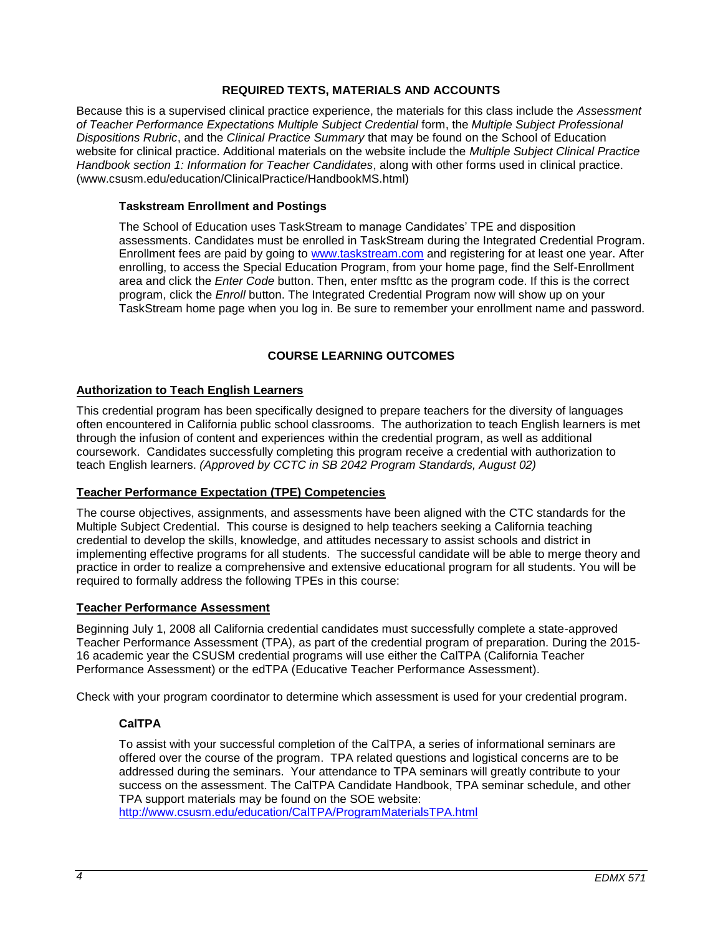## **REQUIRED TEXTS, MATERIALS AND ACCOUNTS**

Because this is a supervised clinical practice experience, the materials for this class include the *Assessment of Teacher Performance Expectations Multiple Subject Credential* form, the *Multiple Subject Professional Dispositions Rubric*, and the *Clinical Practice Summary* that may be found on the School of Education website for clinical practice. Additional materials on the website include the *Multiple Subject Clinical Practice Handbook section 1: Information for Teacher Candidates*, along with other forms used in clinical practice. (www.csusm.edu/education/ClinicalPractice/HandbookMS.html)

#### **Taskstream Enrollment and Postings**

The School of Education uses TaskStream to manage Candidates' TPE and disposition assessments. Candidates must be enrolled in TaskStream during the Integrated Credential Program. Enrollment fees are paid by going to [www.taskstream.com](http://www.taskstrem.com/) and registering for at least one year. After enrolling, to access the Special Education Program, from your home page, find the Self-Enrollment area and click the *Enter Code* button. Then, enter msfttc as the program code. If this is the correct program, click the *Enroll* button. The Integrated Credential Program now will show up on your TaskStream home page when you log in. Be sure to remember your enrollment name and password.

### **COURSE LEARNING OUTCOMES**

#### **Authorization to Teach English Learners**

This credential program has been specifically designed to prepare teachers for the diversity of languages often encountered in California public school classrooms. The authorization to teach English learners is met through the infusion of content and experiences within the credential program, as well as additional coursework. Candidates successfully completing this program receive a credential with authorization to teach English learners. *(Approved by CCTC in SB 2042 Program Standards, August 02)*

#### **Teacher Performance Expectation (TPE) Competencies**

The course objectives, assignments, and assessments have been aligned with the CTC standards for the Multiple Subject Credential. This course is designed to help teachers seeking a California teaching credential to develop the skills, knowledge, and attitudes necessary to assist schools and district in implementing effective programs for all students. The successful candidate will be able to merge theory and practice in order to realize a comprehensive and extensive educational program for all students. You will be required to formally address the following TPEs in this course:

#### **Teacher Performance Assessment**

Beginning July 1, 2008 all California credential candidates must successfully complete a state-approved Teacher Performance Assessment (TPA), as part of the credential program of preparation. During the 2015- 16 academic year the CSUSM credential programs will use either the CalTPA (California Teacher Performance Assessment) or the edTPA (Educative Teacher Performance Assessment).

Check with your program coordinator to determine which assessment is used for your credential program.

## **CalTPA**

To assist with your successful completion of the CalTPA, a series of informational seminars are offered over the course of the program. TPA related questions and logistical concerns are to be addressed during the seminars. Your attendance to TPA seminars will greatly contribute to your success on the assessment. The CalTPA Candidate Handbook, TPA seminar schedule, and other TPA support materials may be found on the SOE website:

<http://www.csusm.edu/education/CalTPA/ProgramMaterialsTPA.html>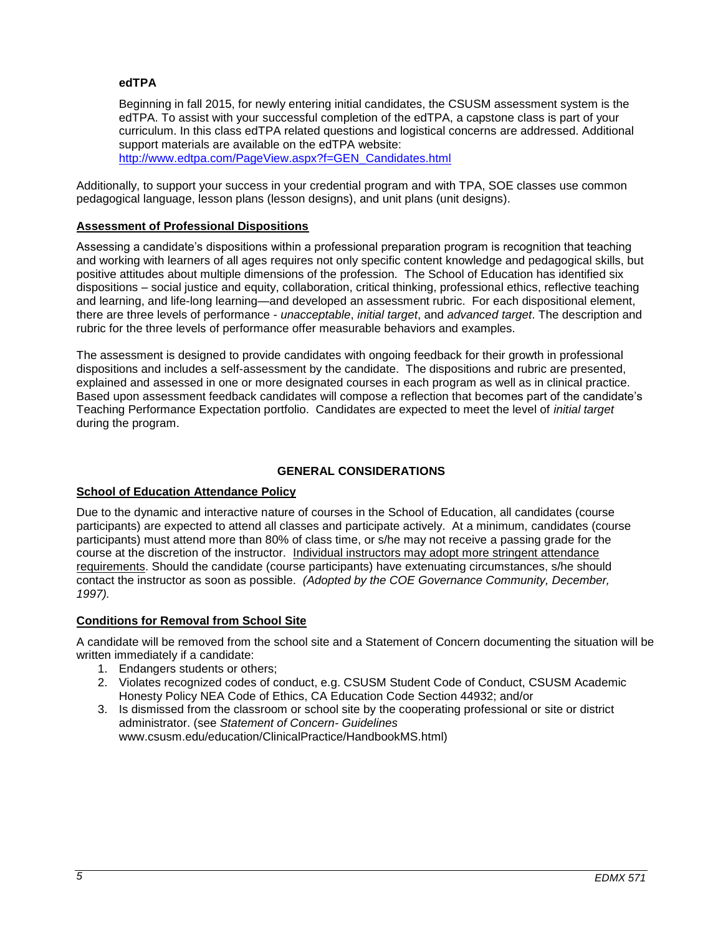### **edTPA**

Beginning in fall 2015, for newly entering initial candidates, the CSUSM assessment system is the edTPA. To assist with your successful completion of the edTPA, a capstone class is part of your curriculum. In this class edTPA related questions and logistical concerns are addressed. Additional support materials are available on the edTPA website: [http://www.edtpa.com/PageView.aspx?f=GEN\\_Candidates.html](http://www.edtpa.com/PageView.aspx?f=GEN_Candidates.html)

Additionally, to support your success in your credential program and with TPA, SOE classes use common pedagogical language, lesson plans (lesson designs), and unit plans (unit designs).

### **Assessment of Professional Dispositions**

Assessing a candidate's dispositions within a professional preparation program is recognition that teaching and working with learners of all ages requires not only specific content knowledge and pedagogical skills, but positive attitudes about multiple dimensions of the profession. The School of Education has identified six dispositions – social justice and equity, collaboration, critical thinking, professional ethics, reflective teaching and learning, and life-long learning—and developed an assessment rubric. For each dispositional element, there are three levels of performance - *unacceptable*, *initial target*, and *advanced target*. The description and rubric for the three levels of performance offer measurable behaviors and examples.

The assessment is designed to provide candidates with ongoing feedback for their growth in professional dispositions and includes a self-assessment by the candidate. The dispositions and rubric are presented, explained and assessed in one or more designated courses in each program as well as in clinical practice. Based upon assessment feedback candidates will compose a reflection that becomes part of the candidate's Teaching Performance Expectation portfolio. Candidates are expected to meet the level of *initial target* during the program.

## **GENERAL CONSIDERATIONS**

## **School of Education Attendance Policy**

Due to the dynamic and interactive nature of courses in the School of Education, all candidates (course participants) are expected to attend all classes and participate actively. At a minimum, candidates (course participants) must attend more than 80% of class time, or s/he may not receive a passing grade for the course at the discretion of the instructor. Individual instructors may adopt more stringent attendance requirements. Should the candidate (course participants) have extenuating circumstances, s/he should contact the instructor as soon as possible. *(Adopted by the COE Governance Community, December, 1997).*

## **Conditions for Removal from School Site**

A candidate will be removed from the school site and a Statement of Concern documenting the situation will be written immediately if a candidate:

- 1. Endangers students or others;
- 2. Violates recognized codes of conduct, e.g. CSUSM Student Code of Conduct, CSUSM Academic Honesty Policy NEA Code of Ethics, CA Education Code Section 44932; and/or
- 3. Is dismissed from the classroom or school site by the cooperating professional or site or district administrator. (see *Statement of Concern- Guidelines* www.csusm.edu/education/ClinicalPractice/HandbookMS.html)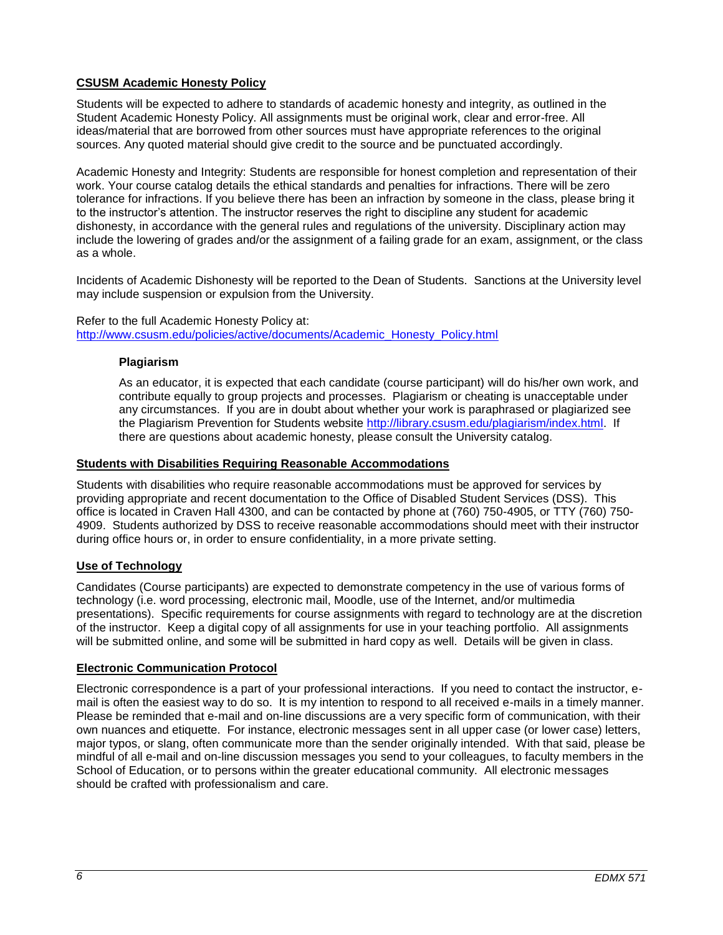# **CSUSM Academic Honesty Policy**

Students will be expected to adhere to standards of academic honesty and integrity, as outlined in the Student Academic Honesty Policy. All assignments must be original work, clear and error-free. All ideas/material that are borrowed from other sources must have appropriate references to the original sources. Any quoted material should give credit to the source and be punctuated accordingly.

Academic Honesty and Integrity: Students are responsible for honest completion and representation of their work. Your course catalog details the ethical standards and penalties for infractions. There will be zero tolerance for infractions. If you believe there has been an infraction by someone in the class, please bring it to the instructor's attention. The instructor reserves the right to discipline any student for academic dishonesty, in accordance with the general rules and regulations of the university. Disciplinary action may include the lowering of grades and/or the assignment of a failing grade for an exam, assignment, or the class as a whole.

Incidents of Academic Dishonesty will be reported to the Dean of Students. Sanctions at the University level may include suspension or expulsion from the University.

#### Refer to the full Academic Honesty Policy at: [http://www.csusm.edu/policies/active/documents/Academic\\_Honesty\\_Policy.html](http://www.csusm.edu/policies/active/documents/Academic_Honesty_Policy.html)

### **Plagiarism**

As an educator, it is expected that each candidate (course participant) will do his/her own work, and contribute equally to group projects and processes. Plagiarism or cheating is unacceptable under any circumstances. If you are in doubt about whether your work is paraphrased or plagiarized see the Plagiarism Prevention for Students website [http://library.csusm.edu/plagiarism/index.html.](http://library.csusm.edu/plagiarism/index.html) If there are questions about academic honesty, please consult the University catalog.

### **Students with Disabilities Requiring Reasonable Accommodations**

Students with disabilities who require reasonable accommodations must be approved for services by providing appropriate and recent documentation to the Office of Disabled Student Services (DSS). This office is located in Craven Hall 4300, and can be contacted by phone at (760) 750-4905, or TTY (760) 750- 4909. Students authorized by DSS to receive reasonable accommodations should meet with their instructor during office hours or, in order to ensure confidentiality, in a more private setting.

#### **Use of Technology**

Candidates (Course participants) are expected to demonstrate competency in the use of various forms of technology (i.e. word processing, electronic mail, Moodle, use of the Internet, and/or multimedia presentations). Specific requirements for course assignments with regard to technology are at the discretion of the instructor. Keep a digital copy of all assignments for use in your teaching portfolio. All assignments will be submitted online, and some will be submitted in hard copy as well. Details will be given in class.

#### **Electronic Communication Protocol**

Electronic correspondence is a part of your professional interactions. If you need to contact the instructor, email is often the easiest way to do so. It is my intention to respond to all received e-mails in a timely manner. Please be reminded that e-mail and on-line discussions are a very specific form of communication, with their own nuances and etiquette. For instance, electronic messages sent in all upper case (or lower case) letters, major typos, or slang, often communicate more than the sender originally intended. With that said, please be mindful of all e-mail and on-line discussion messages you send to your colleagues, to faculty members in the School of Education, or to persons within the greater educational community. All electronic messages should be crafted with professionalism and care.